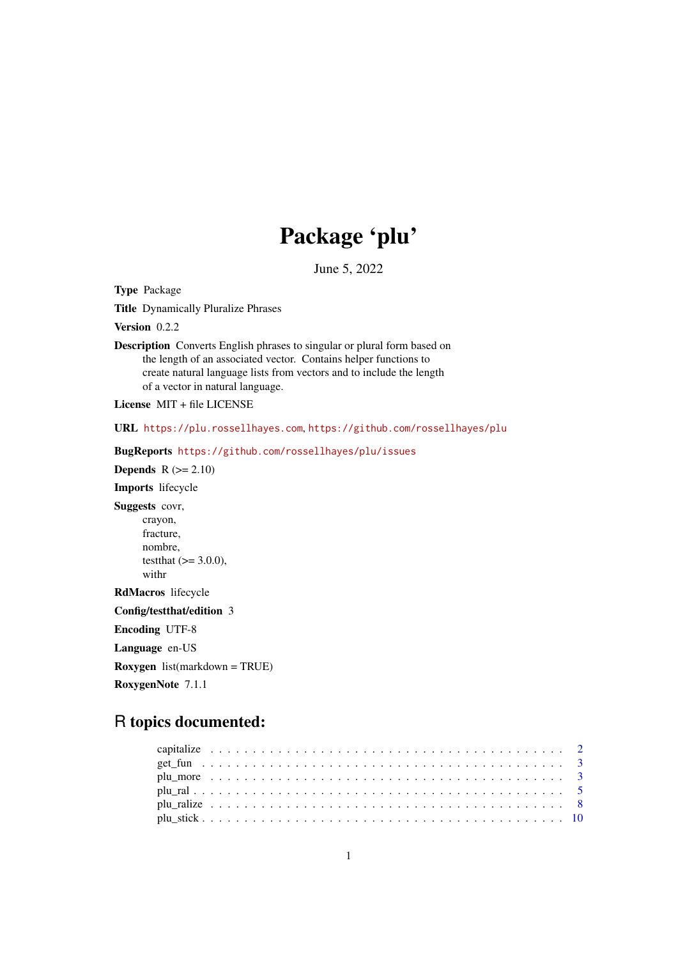# Package 'plu'

June 5, 2022

<span id="page-0-0"></span>Type Package

Title Dynamically Pluralize Phrases

Version 0.2.2

Description Converts English phrases to singular or plural form based on the length of an associated vector. Contains helper functions to create natural language lists from vectors and to include the length of a vector in natural language.

License MIT + file LICENSE

URL <https://plu.rossellhayes.com>, <https://github.com/rossellhayes/plu>

BugReports <https://github.com/rossellhayes/plu/issues>

Depends  $R (= 2.10)$ 

Imports lifecycle

Suggests covr, crayon, fracture, nombre,

testthat  $(>= 3.0.0)$ , withr

RdMacros lifecycle

Config/testthat/edition 3

Encoding UTF-8

Language en-US

Roxygen list(markdown = TRUE)

RoxygenNote 7.1.1

# R topics documented: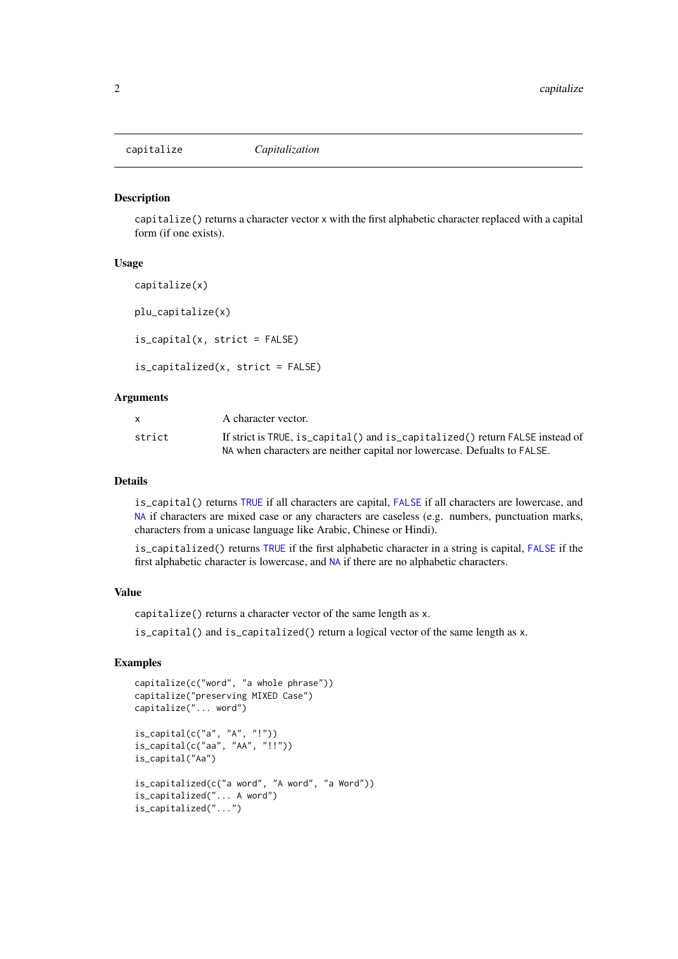<span id="page-1-0"></span>

### Description

capitalize() returns a character vector x with the first alphabetic character replaced with a capital form (if one exists).

### Usage

capitalize(x)

plu\_capitalize(x)

is\_capital(x, strict = FALSE)

is\_capitalized(x, strict = FALSE)

# Arguments

| x.     | A character vector.                                                          |
|--------|------------------------------------------------------------------------------|
| strict | If strict is TRUE, is_capital() and is_capitalized() return FALSE instead of |
|        | NA when characters are neither capital nor lowercase. Defualts to FALSE.     |

# Details

is\_capital() returns [TRUE](#page-0-0) if all characters are capital, [FALSE](#page-0-0) if all characters are lowercase, and [NA](#page-0-0) if characters are mixed case or any characters are caseless (e.g. numbers, punctuation marks, characters from a unicase language like Arabic, Chinese or Hindi).

is\_capitalized() returns [TRUE](#page-0-0) if the first alphabetic character in a string is capital, [FALSE](#page-0-0) if the first alphabetic character is lowercase, and [NA](#page-0-0) if there are no alphabetic characters.

# Value

capitalize() returns a character vector of the same length as x.

is\_capital() and is\_capitalized() return a logical vector of the same length as x.

```
capitalize(c("word", "a whole phrase"))
capitalize("preserving MIXED Case")
capitalize("... word")
```

```
is\_capital(c("a", "A", "!"))is_capital(c("aa", "AA", "!!"))
is_capital("Aa")
is_capitalized(c("a word", "A word", "a Word"))
is_capitalized("... A word")
is_capitalized("...")
```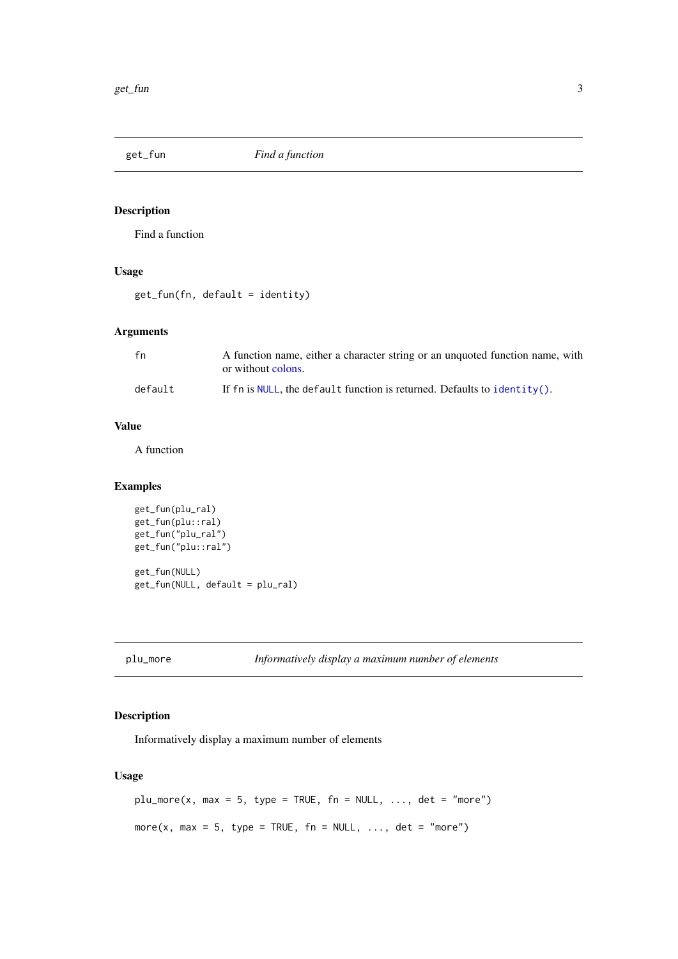<span id="page-2-0"></span>

# Description

Find a function

# Usage

get\_fun(fn, default = identity)

# Arguments

| fn      | A function name, either a character string or an unquoted function name, with<br>or without colons. |
|---------|-----------------------------------------------------------------------------------------------------|
| default | If fn is NULL, the default function is returned. Defaults to identity().                            |

# Value

A function

# Examples

```
get_fun(plu_ral)
get_fun(plu::ral)
get_fun("plu_ral")
get_fun("plu::ral")
get_fun(NULL)
get_fun(NULL, default = plu_ral)
```
plu\_more *Informatively display a maximum number of elements*

# Description

Informatively display a maximum number of elements

# Usage

```
plu_more(x, max = 5, type = TRUE, fn = NULL, ..., det = "more")more(x, max = 5, type = TRUE, fn = NULL, ..., det = "more")
```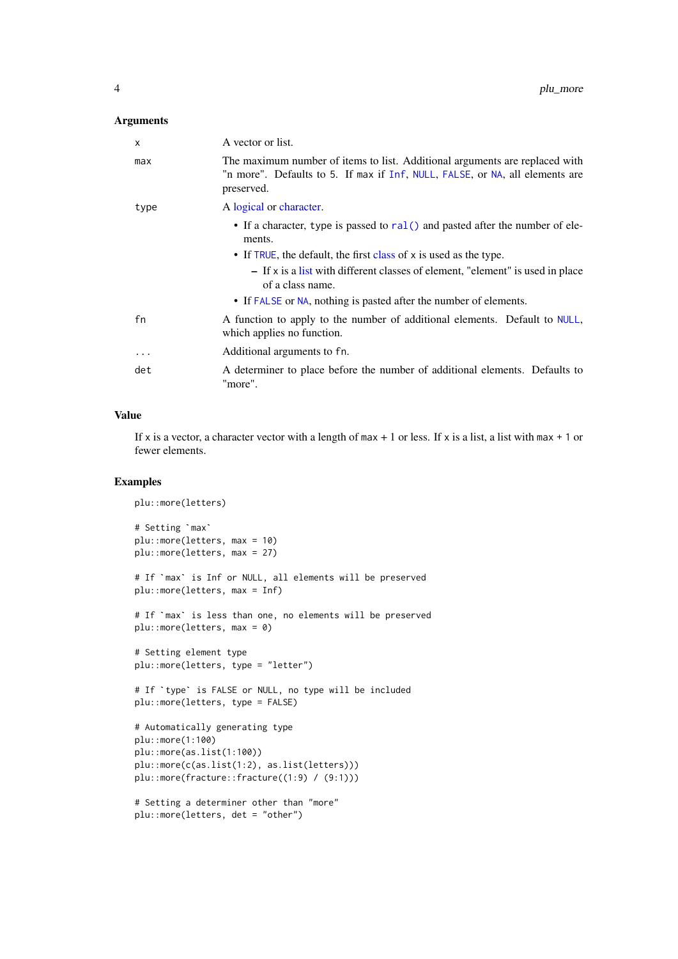# Arguments

| $\mathsf{x}$ | A vector or list.                                                                                                                                                         |
|--------------|---------------------------------------------------------------------------------------------------------------------------------------------------------------------------|
| max          | The maximum number of items to list. Additional arguments are replaced with<br>"n more". Defaults to 5. If max if Inf, NULL, FALSE, or NA, all elements are<br>preserved. |
| type         | A logical or character.                                                                                                                                                   |
|              | • If a character, type is passed to ral () and pasted after the number of ele-<br>ments.                                                                                  |
|              | • If TRUE, the default, the first class of x is used as the type.                                                                                                         |
|              | $-$ If x is a list with different classes of element, "element" is used in place<br>of a class name.                                                                      |
|              | • If FALSE or NA, nothing is pasted after the number of elements.                                                                                                         |
| fn           | A function to apply to the number of additional elements. Default to NULL,<br>which applies no function.                                                                  |
| $\ddots$ .   | Additional arguments to fn.                                                                                                                                               |
| det          | A determiner to place before the number of additional elements. Defaults to<br>"more".                                                                                    |

# Value

If x is a vector, a character vector with a length of max + 1 or less. If x is a list, a list with max + 1 or fewer elements.

```
plu::more(letters)
nrpres<br>plu::more(lette<br># Setting `max`
plu::more(letters, max = 10)
plu::more(letters, max = 27)
# If `max` is Inf or NULL, all elements will be preserved
plu::more(letters, max = Inf)
# If `max` is less than one, no elements will be preserved
plu::more(letters, max = 0)
# Setting element type
plu::more(letters, type = "letter")
# If `type` is FALSE or NULL, no type will be included
plu::more(letters, type = FALSE)
# Automatically generating type
plu::more(1:100)
plu::more(as.list(1:100))
plu::more(c(as.list(1:2), as.list(letters)))
plu::more(fracture::fracture((1:9) / (9:1)))
# Setting a determiner other than "more"
plu::more(letters, det = "other")
```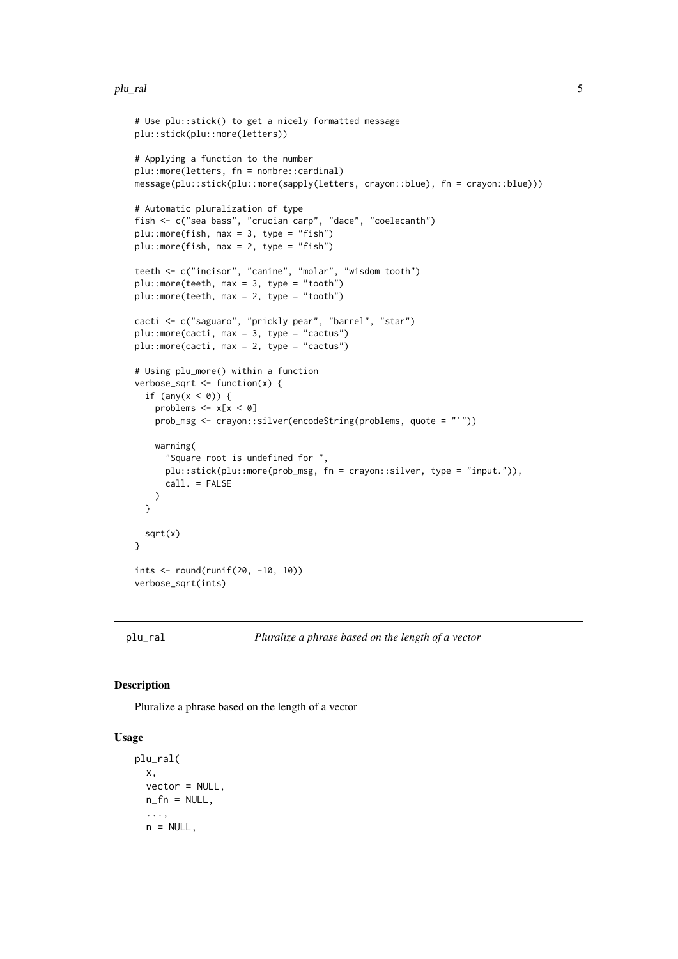# <span id="page-4-0"></span>plu\_ral 5

```
# Use plu::stick() to get a nicely formatted message
plu::stick(plu::more(letters))
# Applying a function to the number
plu::more(letters, fn = nombre::cardinal)
message(plu::stick(plu::more(sapply(letters, crayon::blue), fn = crayon::blue)))
# Automatic pluralization of type
fish <- c("sea bass", "crucian carp", "dace", "coelecanth")
plus:more(fish, max = 3, type = "fish")plus:more(fish, max = 2, type = "fish")teeth <- c("incisor", "canine", "molar", "wisdom tooth")
plu::more(teeth, max = 3, type = "tooth")
plus:more(teeth, max = 2, type = "tooth")cacti <- c("saguaro", "prickly pear", "barrel", "star")
plu::more(cacti, max = 3, type = "cactus")
plu::more(cacti, max = 2, type = "cactus")
# Using plu_more() within a function
verbose_sqrt \leq function(x) {
  if (any(x < 0)) {
    problems \leq -x[x < 0]prob_msg <- crayon::silver(encodeString(problems, quote = "`"))
    warning(
      "Square root is undefined for ",
      plu::stick(plu::more(prob_msg, fn = crayon::silver, type = "input.")),
     call. = FALSE
   )
  }
 sqrt(x)
}
ints <- round(runif(20, -10, 10))
verbose_sqrt(ints)
```
<span id="page-4-2"></span>

plu\_ral *Pluralize a phrase based on the length of a vector*

# <span id="page-4-1"></span>Description

Pluralize a phrase based on the length of a vector

### Usage

```
plu_ral(
 x,
 vector = NULL,
 n_f = NULL,...,
 n = NULL,
```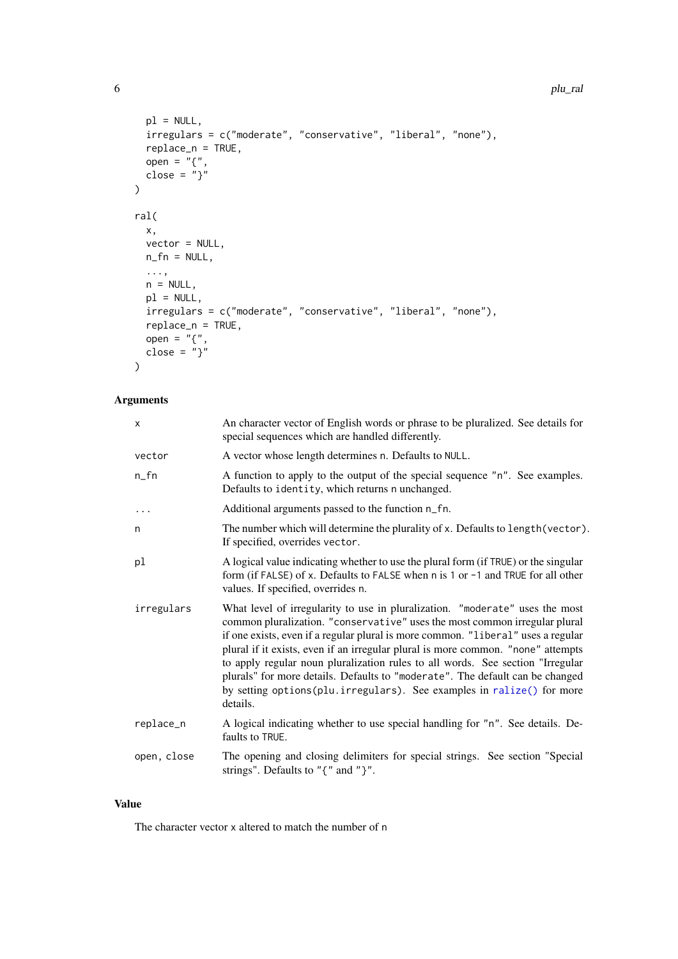### 6 plu\_ral power and the control of the control of the control of the plu\_ral plu\_ral plu\_ral power and the control of the control of the control of the control of the control of the control of the control of the control of

```
p1 = NULL,irregulars = c("moderate", "conservative", "liberal", "none"),
  replace_n = TRUE,
  open = "{''},close = "}"
)
ral(
  x,
  vector = NULL,n_f = NULL,...,
  n = NULL,p1 = NULL,irregulars = c("moderate", "conservative", "liberal", "none"),
  replace_n = TRUE,
  open = "{\cdot}",
  close = "}"
)
```
# Arguments

| $\mathsf{x}$ | An character vector of English words or phrase to be pluralized. See details for<br>special sequences which are handled differently.                                                                                                                                                                                                                                                                                                                                                                                                                                                       |
|--------------|--------------------------------------------------------------------------------------------------------------------------------------------------------------------------------------------------------------------------------------------------------------------------------------------------------------------------------------------------------------------------------------------------------------------------------------------------------------------------------------------------------------------------------------------------------------------------------------------|
| vector       | A vector whose length determines n. Defaults to NULL.                                                                                                                                                                                                                                                                                                                                                                                                                                                                                                                                      |
| $n_{f}$ n    | A function to apply to the output of the special sequence "n". See examples.<br>Defaults to identity, which returns n unchanged.                                                                                                                                                                                                                                                                                                                                                                                                                                                           |
| $\ddots$     | Additional arguments passed to the function n_fn.                                                                                                                                                                                                                                                                                                                                                                                                                                                                                                                                          |
| n            | The number which will determine the plurality of x. Defaults to length (vector).<br>If specified, overrides vector.                                                                                                                                                                                                                                                                                                                                                                                                                                                                        |
| pl           | A logical value indicating whether to use the plural form (if TRUE) or the singular<br>form (if FALSE) of x. Defaults to FALSE when n is 1 or -1 and TRUE for all other<br>values. If specified, overrides n.                                                                                                                                                                                                                                                                                                                                                                              |
| irregulars   | What level of irregularity to use in pluralization. "moderate" uses the most<br>common pluralization. "conservative" uses the most common irregular plural<br>if one exists, even if a regular plural is more common. "liberal" uses a regular<br>plural if it exists, even if an irregular plural is more common. "none" attempts<br>to apply regular noun pluralization rules to all words. See section "Irregular<br>plurals" for more details. Defaults to "moderate". The default can be changed<br>by setting options(plu.irregulars). See examples in ralize() for more<br>details. |
| replace_n    | A logical indicating whether to use special handling for "n". See details. De-<br>faults to TRUE.                                                                                                                                                                                                                                                                                                                                                                                                                                                                                          |
| open, close  | The opening and closing delimiters for special strings. See section "Special<br>strings". Defaults to " $\{$ " and " $\}$ ".                                                                                                                                                                                                                                                                                                                                                                                                                                                               |
|              |                                                                                                                                                                                                                                                                                                                                                                                                                                                                                                                                                                                            |

# Value

The character vector x altered to match the number of n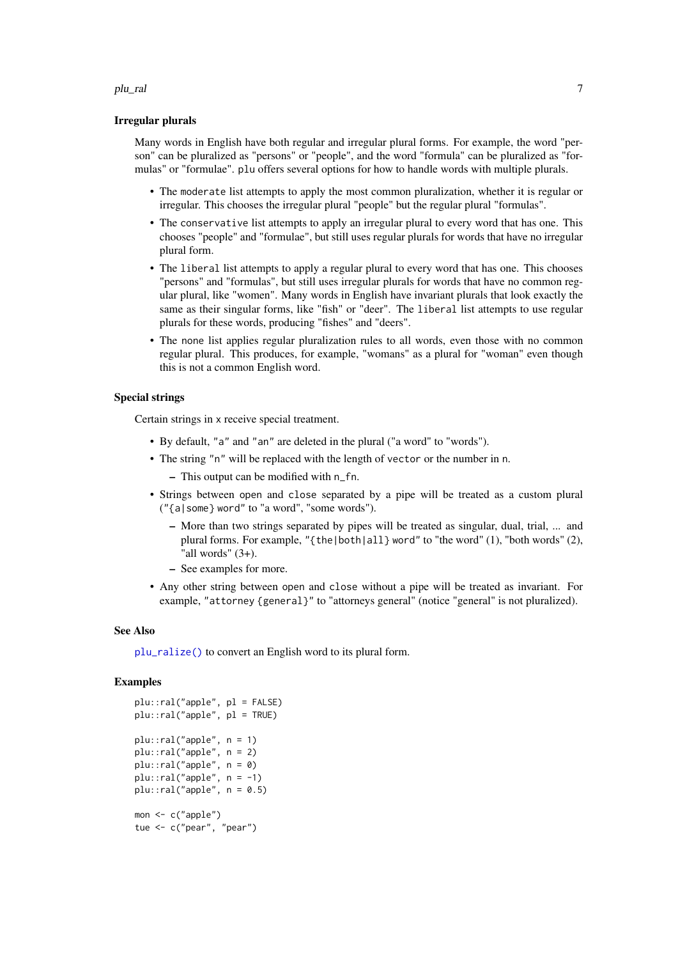### plu\_ral 7 and 7 and 7 and 7 and 7 and 7 and 7 and 7 and 7 and 7 and 7 and 7 and 7 and 7 and 7 and 7 and 7 and 7

### Irregular plurals

Many words in English have both regular and irregular plural forms. For example, the word "person" can be pluralized as "persons" or "people", and the word "formula" can be pluralized as "formulas" or "formulae". plu offers several options for how to handle words with multiple plurals.

- The moderate list attempts to apply the most common pluralization, whether it is regular or irregular. This chooses the irregular plural "people" but the regular plural "formulas".
- The conservative list attempts to apply an irregular plural to every word that has one. This chooses "people" and "formulae", but still uses regular plurals for words that have no irregular plural form.
- The liberal list attempts to apply a regular plural to every word that has one. This chooses "persons" and "formulas", but still uses irregular plurals for words that have no common regular plural, like "women". Many words in English have invariant plurals that look exactly the same as their singular forms, like "fish" or "deer". The liberal list attempts to use regular plurals for these words, producing "fishes" and "deers".
- The none list applies regular pluralization rules to all words, even those with no common regular plural. This produces, for example, "womans" as a plural for "woman" even though this is not a common English word.

# Special strings

Certain strings in x receive special treatment.

- By default, "a" and "an" are deleted in the plural ("a word" to "words").
- The string "n" will be replaced with the length of vector or the number in n.
	- This output can be modified with n\_fn.
- Strings between open and close separated by a pipe will be treated as a custom plural ("{a|some} word" to "a word", "some words").
	- More than two strings separated by pipes will be treated as singular, dual, trial, ... and plural forms. For example, "{the|both|all} word" to "the word" (1), "both words" (2), "all words"  $(3+)$ .
	- See examples for more.
- Any other string between open and close without a pipe will be treated as invariant. For example, "attorney {general}" to "attorneys general" (notice "general" is not pluralized).

## See Also

[plu\\_ralize\(\)](#page-7-2) to convert an English word to its plural form.

```
plu::ral("apple", pl = FALSE)
plu::ral("apple", pl = TRUE)
plu::ral("apple", n = 1)
plu::ral("apple", n = 2)
plu::ral("apple", n = 0)
plus::ral("apple", n = -1)plus::ral("apple", n = 0.5)mon <- c("apple")
tue <- c("pear", "pear")
```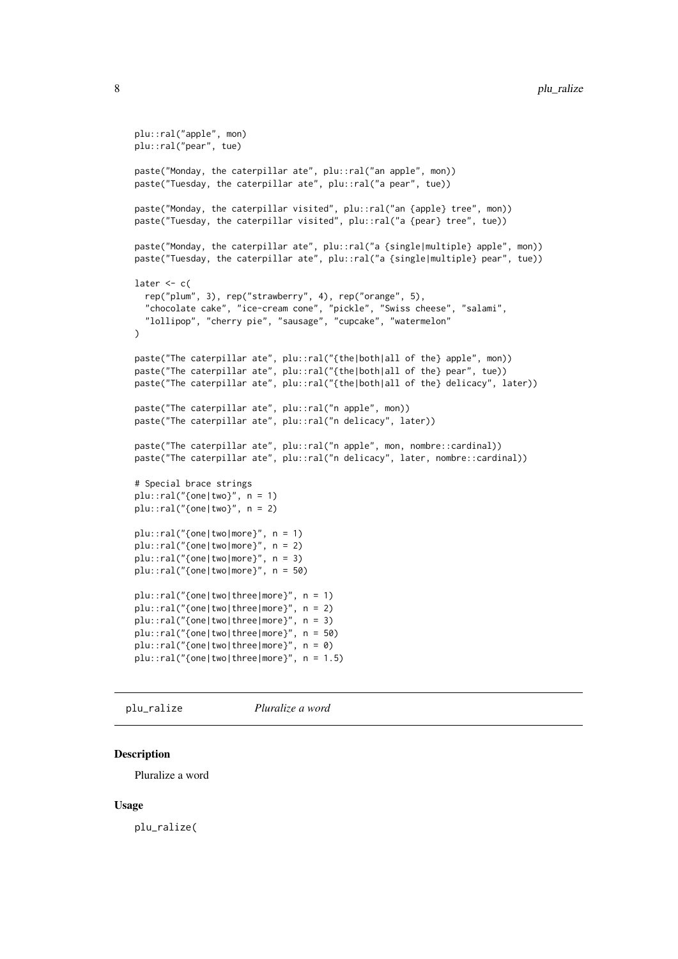```
plu::ral("apple", mon)
plu::ral("pear", tue)
paste("Monday, the caterpillar ate", plu::ral("an apple", mon))
paste("Tuesday, the caterpillar ate", plu::ral("a pear", tue))
paste("Monday, the caterpillar visited", plu::ral("an {apple} tree", mon))
paste("Tuesday, the caterpillar visited", plu::ral("a {pear} tree", tue))
paste("Monday, the caterpillar ate", plu::ral("a {single|multiple} apple", mon))
paste("Tuesday, the caterpillar ate", plu::ral("a {single|multiple} pear", tue))
later <-c(rep("plum", 3), rep("strawberry", 4), rep("orange", 5),
  "chocolate cake", "ice-cream cone", "pickle", "Swiss cheese", "salami",
  "lollipop", "cherry pie", "sausage", "cupcake", "watermelon"
\lambdapaste("The caterpillar ate", plu::ral("{the|both|all of the} apple", mon))
paste("The caterpillar ate", plu::ral("{the|both|all of the} pear", tue))
paste("The caterpillar ate", plu::ral("{the|both|all of the} delicacy", later))
paste("The caterpillar ate", plu::ral("n apple", mon))
paste("The caterpillar ate", plu::ral("n delicacy", later))
paste("The caterpillar ate", plu::ral("n apple", mon, nombre::cardinal))
paste("The caterpillar ate", plu::ral("n delicacy", later, nombre::cardinal))
# Special brace strings
plus::ral("{one|two}", n = 1)plus::ral("none|two}", n = 2)plu::ral("{one|two|more}", n = 1)
plu::ral("{one|two|more}", n = 2)
plu::ral("{one|two|more}", n = 3)
plu::ral("{one|two|more}", n = 50)
plu::ral("{one|two|three|more}", n = 1)
plu::ral("{one|two|three|more}", n = 2)
plu::ral("{one|two|three|more}", n = 3)
plu::ral("{one|two|three|more}", n = 50)
plu::ral("{one|two|three|more}", n = 0)
plu::ral("{one|two|three|more}", n = 1.5)
```
<span id="page-7-2"></span>plu\_ralize *Pluralize a word*

# <span id="page-7-1"></span>Description

Pluralize a word

### Usage

plu\_ralize(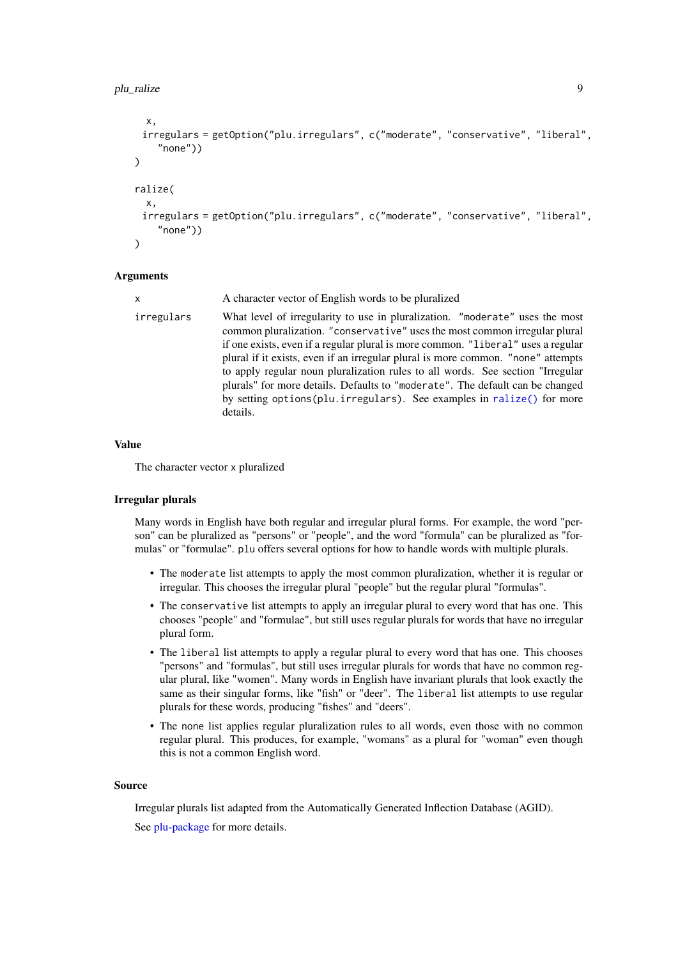```
x,
 irregulars = getOption("plu.irregulars", c("moderate", "conservative", "liberal",
    "none"))
)
ralize(
  x,
 irregulars = getOption("plu.irregulars", c("moderate", "conservative", "liberal",
    "none"))
\lambda
```
### Arguments

| X          | A character vector of English words to be pluralized                                                                                                                                                                                                                                                                                                                                                                                                                                                                                                                                          |
|------------|-----------------------------------------------------------------------------------------------------------------------------------------------------------------------------------------------------------------------------------------------------------------------------------------------------------------------------------------------------------------------------------------------------------------------------------------------------------------------------------------------------------------------------------------------------------------------------------------------|
| irregulars | What level of irregularity to use in pluralization. "moderate" uses the most<br>common pluralization. "conservative" uses the most common irregular plural<br>if one exists, even if a regular plural is more common. "liberal" uses a regular<br>plural if it exists, even if an irregular plural is more common. "none" attempts<br>to apply regular noun pluralization rules to all words. See section "Irregular<br>plurals" for more details. Defaults to "moderate". The default can be changed<br>by setting options (plu. irregulars). See examples in ralize () for more<br>details. |

# Value

The character vector x pluralized

### Irregular plurals

Many words in English have both regular and irregular plural forms. For example, the word "person" can be pluralized as "persons" or "people", and the word "formula" can be pluralized as "formulas" or "formulae". plu offers several options for how to handle words with multiple plurals.

- The moderate list attempts to apply the most common pluralization, whether it is regular or irregular. This chooses the irregular plural "people" but the regular plural "formulas".
- The conservative list attempts to apply an irregular plural to every word that has one. This chooses "people" and "formulae", but still uses regular plurals for words that have no irregular plural form.
- The liberal list attempts to apply a regular plural to every word that has one. This chooses "persons" and "formulas", but still uses irregular plurals for words that have no common regular plural, like "women". Many words in English have invariant plurals that look exactly the same as their singular forms, like "fish" or "deer". The liberal list attempts to use regular plurals for these words, producing "fishes" and "deers".
- The none list applies regular pluralization rules to all words, even those with no common regular plural. This produces, for example, "womans" as a plural for "woman" even though this is not a common English word.

#### Source

Irregular plurals list adapted from the Automatically Generated Inflection Database (AGID). See [plu-package](#page-0-0) for more details.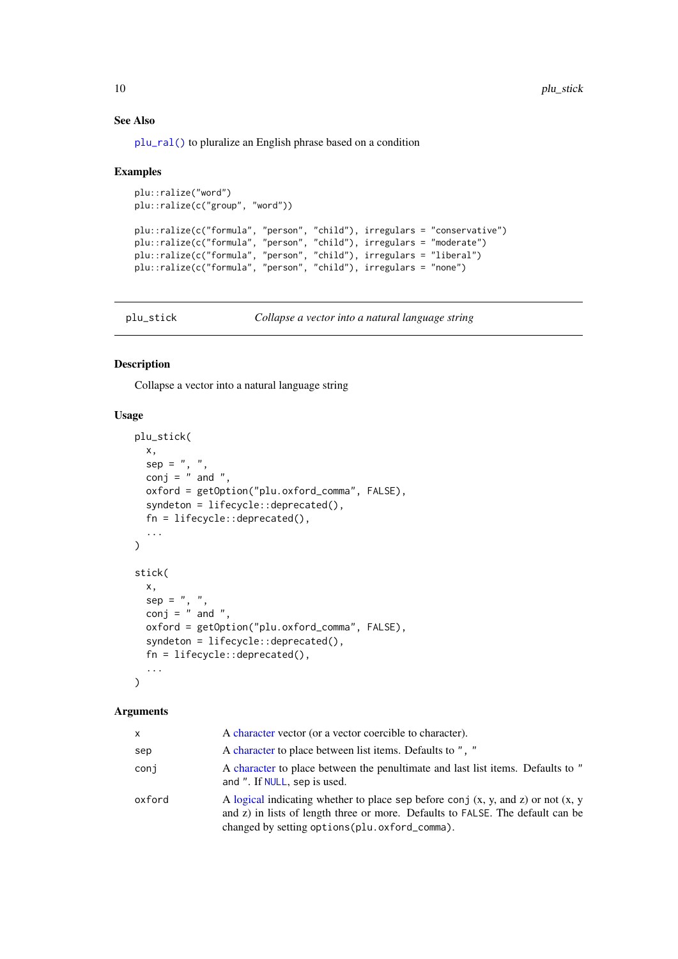# See Also

[plu\\_ral\(\)](#page-4-2) to pluralize an English phrase based on a condition

### Examples

```
plu::ralize("word")
plu::ralize(c("group", "word"))
```

```
plu::ralize(c("formula", "person", "child"), irregulars = "conservative")
plu::ralize(c("formula", "person", "child"), irregulars = "moderate")
plu::ralize(c("formula", "person", "child"), irregulars = "liberal")
plu::ralize(c("formula", "person", "child"), irregulars = "none")
```
plu\_stick *Collapse a vector into a natural language string*

# Description

Collapse a vector into a natural language string

### Usage

```
plu_stick(
  x,
  sep = " , " ,conj = " and ",
  oxford = getOption("plu.oxford_comma", FALSE),
  syndeton = lifecycle::deprecated(),
  fn = lifecycle::deprecated(),
  ...
\lambdastick(
  x,
 sep = ", ",
 conj = \int and ",
  oxford = getOption("plu.oxford_comma", FALSE),
  syndeton = lifecycle::deprecated(),
  fn = lifecycle::deprecated(),
  ...
)
```
### Arguments

| X      | A character vector (or a vector coercible to character).                                                                                                                                                                  |
|--------|---------------------------------------------------------------------------------------------------------------------------------------------------------------------------------------------------------------------------|
| sep    | A character to place between list items. Defaults to ", "                                                                                                                                                                 |
| coni   | A character to place between the penultimate and last list items. Defaults to "<br>and ". If NULL, sep is used.                                                                                                           |
| oxford | A logical indicating whether to place sep before conj $(x, y, and z)$ or not $(x, y)$<br>and z) in lists of length three or more. Defaults to FALSE. The default can be<br>changed by setting options (plu.oxford_comma). |

<span id="page-9-0"></span>